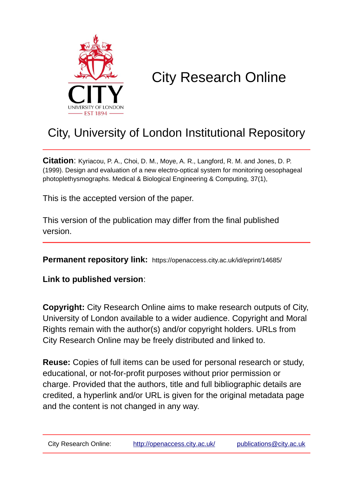

# City Research Online

## City, University of London Institutional Repository

**Citation**: Kyriacou, P. A., Choi, D. M., Moye, A. R., Langford, R. M. and Jones, D. P. (1999). Design and evaluation of a new electro-optical system for monitoring oesophageal photoplethysmographs. Medical & Biological Engineering & Computing, 37(1),

This is the accepted version of the paper.

This version of the publication may differ from the final published version.

**Permanent repository link:** https://openaccess.city.ac.uk/id/eprint/14685/

**Link to published version**:

**Copyright:** City Research Online aims to make research outputs of City, University of London available to a wider audience. Copyright and Moral Rights remain with the author(s) and/or copyright holders. URLs from City Research Online may be freely distributed and linked to.

**Reuse:** Copies of full items can be used for personal research or study, educational, or not-for-profit purposes without prior permission or charge. Provided that the authors, title and full bibliographic details are credited, a hyperlink and/or URL is given for the original metadata page and the content is not changed in any way.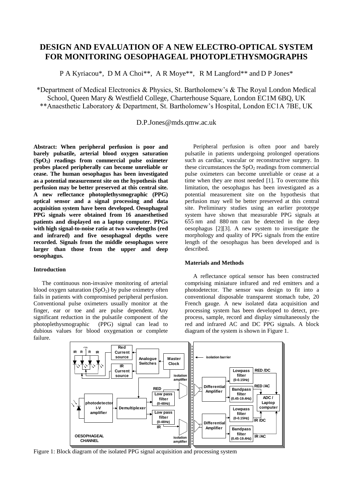### **DESIGN AND EVALUATION OF A NEW ELECTRO-OPTICAL SYSTEM FOR MONITORING OESOPHAGEAL PHOTOPLETHYSMOGRAPHS**

P A Kyriacou\*, D M A Choi\*\*, A R Moye\*\*, R M Langford\*\* and D P Jones\*

\*Department of Medical Electronics & Physics, St. Bartholomew's & The Royal London Medical School, Queen Mary & Westfield College, Charterhouse Square, London EC1M 6BQ, UK \*\*Anaesthetic Laboratory & Department, St. Bartholomew's Hospital, London EC1A 7BE, UK

D.P.Jones@mds.qmw.ac.uk

**Abstract: When peripheral perfusion is poor and barely pulsatile, arterial blood oxygen saturation (SpO2) readings from commercial pulse oximeter probes placed peripherally can become unreliable or cease. The human oesophagus has been investigated as a potential measurement site on the hypothesis that perfusion may be better preserved at this central site. A new reflectance photoplethysmographic (PPG) optical sensor and a signal processing and data acquisition system have been developed. Oesophageal PPG signals were obtained from 16 anaesthetised patients and displayed on a laptop computer. PPGs with high signal-to-noise ratio at two wavelengths (red and infrared) and five oesophageal depths were recorded. Signals from the middle oesophagus were larger than those from the upper and deep oesophagus.**

#### **Introduction**

The continuous non-invasive monitoring of arterial blood oxygen saturation  $(SpO<sub>2</sub>)$  by pulse oximetry often fails in patients with compromised peripheral perfusion. Conventional pulse oximeters usually monitor at the finger, ear or toe and are pulse dependent. Any significant reduction in the pulsatile component of the photoplethysmographic (PPG) signal can lead to  $(PPG)$  signal can lead to dubious values for blood oxygenation or complete failure.

Peripheral perfusion is often poor and barely pulsatile in patients undergoing prolonged operations such as cardiac, vascular or reconstructive surgery. In these circumstances the  $SpO<sub>2</sub>$  readings from commercial pulse oximeters can become unreliable or cease at a time when they are most needed [1]. To overcome this limitation, the oesophagus has been investigated as a potential measurement site on the hypothesis that perfusion may well be better preserved at this central site. Preliminary studies using an earlier prototype system have shown that measurable PPG signals at 655 nm and 880 nm can be detected in the deep oesophagus [2][3]. A new system to investigate the morphology and quality of PPG signals from the entire length of the oesophagus has been developed and is described.

#### **Materials and Methods**

A reflectance optical sensor has been constructed comprising miniature infrared and red emitters and a photodetector. The sensor was design to fit into a conventional disposable transparent stomach tube, 20 French gauge. A new isolated data acquisition and processing system has been developed to detect, preprocess, sample, record and display simultaneously the red and infrared AC and DC PPG signals. A block diagram of the system is shown in Figure 1.



Figure 1: Block diagram of the isolated PPG signal acquisition and processing system